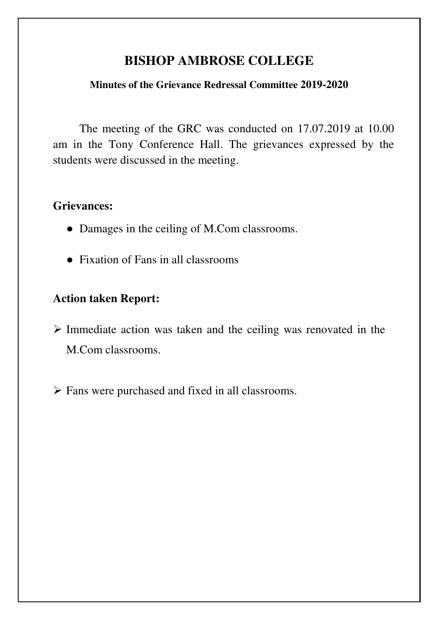# **BISHOP AMBROSE COLLEGE**

### **Minutes of the Grievance Redressal Committee 2019-2020**

The meeting of the GRC was conducted on 17.07.2019 at 10.00 am in the Tony Conference Hall. The grievances expressed by the students were discussed in the meeting.

# **Grievances:**

- Damages in the ceiling of M.Com classrooms.
- Fixation of Fans in all classrooms

# **Action taken Report:**

- $\triangleright$  Immediate action was taken and the ceiling was renovated in the M.Com classrooms.
- $\triangleright$  Fans were purchased and fixed in all classrooms.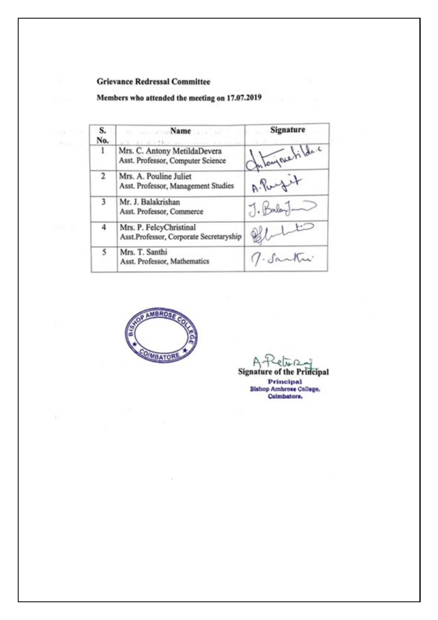#### **Grievance Redressal Committee**

132. 7.38  $\mathcal{H}$  is  $x\rightarrow y$ 

#### Members who attended the meeting on 17.07.2019

| S.<br>No. | se and comp <b>Name</b> and all the pro-<br>and all also like anyone systems a neutron on- | Signature      |
|-----------|--------------------------------------------------------------------------------------------|----------------|
| ı         | Mrs. C. Antony MetildaDevera<br>Asst. Professor, Computer Science                          | Intonymetica.c |
| 2         | Mrs. A. Pouline Juliet<br>Asst. Professor, Management Studies                              | A. Port        |
| 3         | Mr. J. Balakrishan<br>Asst. Professor, Commerce                                            | $J.$ Balay-    |
| 4         | Mrs. P. FelcyChristinal<br>Asst.Professor, Corporate Secretaryship                         | Q              |
| 5         | Mrs. T. Santhi<br>Asst. Professor, Mathematics                                             | J. Santui      |



 $AA$  $\overline{\lambda}$   $\Omega$ ê

**Signature of the Principal Principal Bishop Ambrose College,<br>Coimbatore,**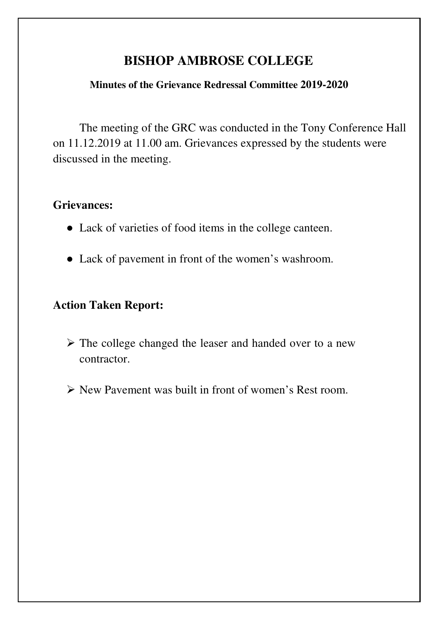# **BISHOP AMBROSE COLLEGE**

## **Minutes of the Grievance Redressal Committee 2019-2020**

The meeting of the GRC was conducted in the Tony Conference Hall on 11.12.2019 at 11.00 am. Grievances expressed by the students were discussed in the meeting.

# **Grievances:**

- Lack of varieties of food items in the college canteen.
- Lack of pavement in front of the women's washroom.

# **Action Taken Report:**

- The college changed the leaser and handed over to a new contractor.
- New Pavement was built in front of women's Rest room.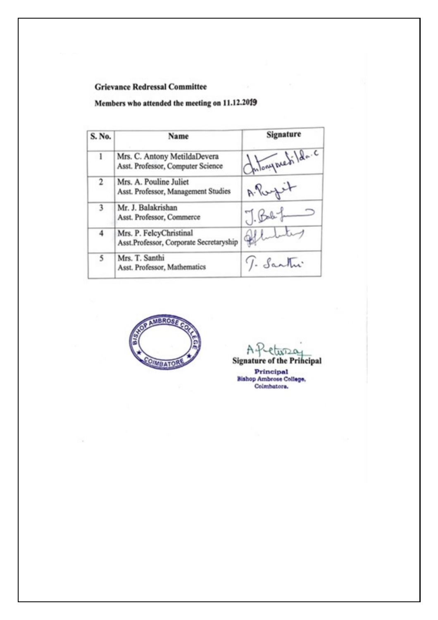### **Grievance Redressal Committee**

### Members who attended the meeting on 11.12.2019

| S. No. | Name                                                               | Signature        |
|--------|--------------------------------------------------------------------|------------------|
| 1      | Mrs. C. Antony MetildaDevera<br>Asst. Professor, Computer Science  | Intonyment lda.c |
| 2      | Mrs. A. Pouline Juliet<br>Asst. Professor, Management Studies      | A. Portet        |
| 3      | Mr. J. Balakrishan<br>Asst. Professor, Commerce                    | $J.Bab +$        |
| 4      | Mrs. P. FelcyChristinal<br>Asst.Professor, Corporate Secretaryship | al               |
| 5      | Mrs. T. Santhi<br>Asst. Professor, Mathematics                     | J. Santu         |



Α.  $13D0$ **Signature of the Principal** 

Principal<br>Bishop Ambrose College, Colmbatore.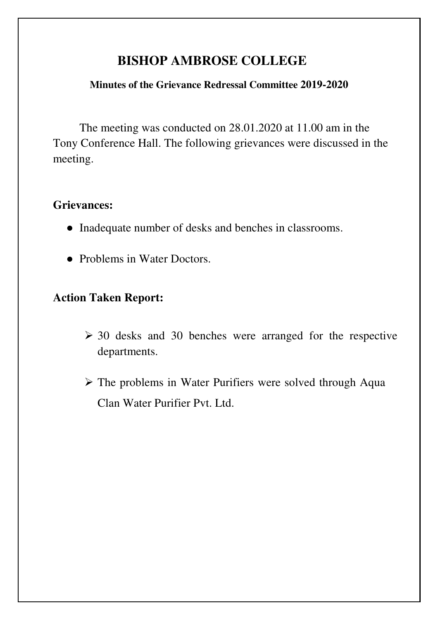# **BISHOP AMBROSE COLLEGE**

## **Minutes of the Grievance Redressal Committee 2019-2020**

The meeting was conducted on 28.01.2020 at 11.00 am in the Tony Conference Hall. The following grievances were discussed in the meeting.

# **Grievances:**

- Inadequate number of desks and benches in classrooms.
- Problems in Water Doctors.

# **Action Taken Report:**

- $\geq$  30 desks and 30 benches were arranged for the respective departments.
- $\triangleright$  The problems in Water Purifiers were solved through Aqua Clan Water Purifier Pvt. Ltd.